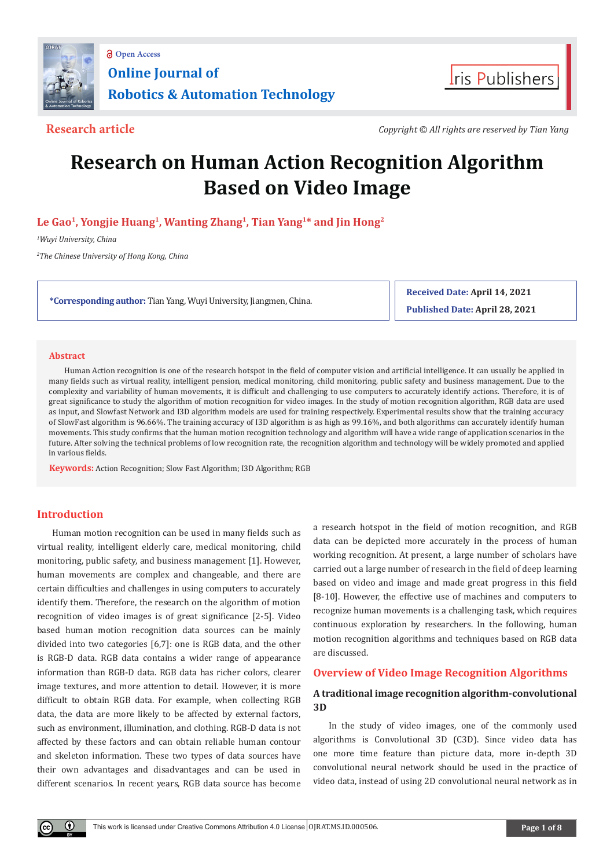



**Research article** *Copyright © All rights are reserved by Tian Yang*

# **Research on Human Action Recognition Algorithm Based on Video Image**

# **Le Gao1, Yongjie Huang1, Wanting Zhang1, Tian Yang1\* and Jin Hong2**

*1 Wuyi University, China*

*2 The Chinese University of Hong Kong, China*

**\*Corresponding author:** Tian Yang, Wuyi University, Jiangmen, China.

**Received Date: April 14, 2021 Published Date: April 28, 2021**

## **Abstract**

Human Action recognition is one of the research hotspot in the field of computer vision and artificial intelligence. It can usually be applied in many fields such as virtual reality, intelligent pension, medical monitoring, child monitoring, public safety and business management. Due to the complexity and variability of human movements, it is difficult and challenging to use computers to accurately identify actions. Therefore, it is of great significance to study the algorithm of motion recognition for video images. In the study of motion recognition algorithm, RGB data are used as input, and Slowfast Network and I3D algorithm models are used for training respectively. Experimental results show that the training accuracy of SlowFast algorithm is 96.66%. The training accuracy of I3D algorithm is as high as 99.16%, and both algorithms can accurately identify human movements. This study confirms that the human motion recognition technology and algorithm will have a wide range of application scenarios in the future. After solving the technical problems of low recognition rate, the recognition algorithm and technology will be widely promoted and applied in various fields.

**Keywords:** Action Recognition; Slow Fast Algorithm; I3D Algorithm; RGB

# **Introduction**

Œ

Human motion recognition can be used in many fields such as virtual reality, intelligent elderly care, medical monitoring, child monitoring, public safety, and business management [1]. However, human movements are complex and changeable, and there are certain difficulties and challenges in using computers to accurately identify them. Therefore, the research on the algorithm of motion recognition of video images is of great significance [2-5]. Video based human motion recognition data sources can be mainly divided into two categories [6,7]: one is RGB data, and the other is RGB-D data. RGB data contains a wider range of appearance information than RGB-D data. RGB data has richer colors, clearer image textures, and more attention to detail. However, it is more difficult to obtain RGB data. For example, when collecting RGB data, the data are more likely to be affected by external factors, such as environment, illumination, and clothing. RGB-D data is not affected by these factors and can obtain reliable human contour and skeleton information. These two types of data sources have their own advantages and disadvantages and can be used in different scenarios. In recent years, RGB data source has become

a research hotspot in the field of motion recognition, and RGB data can be depicted more accurately in the process of human working recognition. At present, a large number of scholars have carried out a large number of research in the field of deep learning based on video and image and made great progress in this field [8-10]. However, the effective use of machines and computers to recognize human movements is a challenging task, which requires continuous exploration by researchers. In the following, human motion recognition algorithms and techniques based on RGB data are discussed.

# **Overview of Video Image Recognition Algorithms**

# **A traditional image recognition algorithm-convolutional 3D**

In the study of video images, one of the commonly used algorithms is Convolutional 3D (C3D). Since video data has one more time feature than picture data, more in-depth 3D convolutional neural network should be used in the practice of video data, instead of using 2D convolutional neural network as in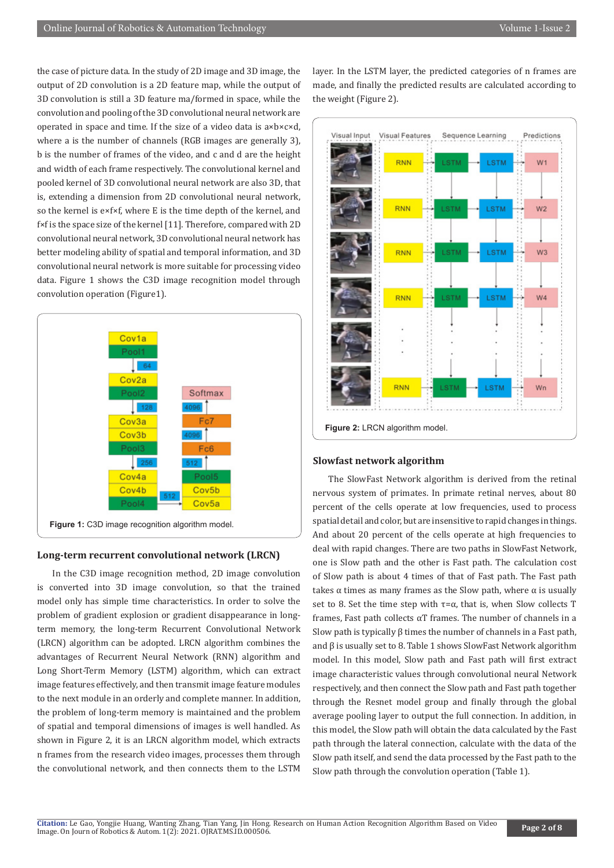the case of picture data. In the study of 2D image and 3D image, the output of 2D convolution is a 2D feature map, while the output of 3D convolution is still a 3D feature ma/formed in space, while the convolution and pooling of the 3D convolutional neural network are operated in space and time. If the size of a video data is a×b×c×d, where a is the number of channels (RGB images are generally 3), b is the number of frames of the video, and c and d are the height and width of each frame respectively. The convolutional kernel and pooled kernel of 3D convolutional neural network are also 3D, that is, extending a dimension from 2D convolutional neural network, so the kernel is e×f×f, where E is the time depth of the kernel, and f×f is the space size of the kernel [11]. Therefore, compared with 2D convolutional neural network, 3D convolutional neural network has better modeling ability of spatial and temporal information, and 3D convolutional neural network is more suitable for processing video data. Figure 1 shows the C3D image recognition model through convolution operation (Figure1).



#### **Long-term recurrent convolutional network (LRCN)**

In the C3D image recognition method, 2D image convolution is converted into 3D image convolution, so that the trained model only has simple time characteristics. In order to solve the problem of gradient explosion or gradient disappearance in longterm memory, the long-term Recurrent Convolutional Network (LRCN) algorithm can be adopted. LRCN algorithm combines the advantages of Recurrent Neural Network (RNN) algorithm and Long Short-Term Memory (LSTM) algorithm, which can extract image features effectively, and then transmit image feature modules to the next module in an orderly and complete manner. In addition, the problem of long-term memory is maintained and the problem of spatial and temporal dimensions of images is well handled. As shown in Figure 2, it is an LRCN algorithm model, which extracts n frames from the research video images, processes them through the convolutional network, and then connects them to the LSTM layer. In the LSTM layer, the predicted categories of n frames are made, and finally the predicted results are calculated according to the weight (Figure 2).



## **Slowfast network algorithm**

The SlowFast Network algorithm is derived from the retinal nervous system of primates. In primate retinal nerves, about 80 percent of the cells operate at low frequencies, used to process spatial detail and color, but are insensitive to rapid changes in things. And about 20 percent of the cells operate at high frequencies to deal with rapid changes. There are two paths in SlowFast Network, one is Slow path and the other is Fast path. The calculation cost of Slow path is about 4 times of that of Fast path. The Fast path takes  $α$  times as many frames as the Slow path, where  $α$  is usually set to 8. Set the time step with  $\tau = \alpha$ , that is, when Slow collects T frames, Fast path collects  $\alpha$ T frames. The number of channels in a Slow path is typically β times the number of channels in a Fast path, and β is usually set to 8. Table 1 shows SlowFast Network algorithm model. In this model, Slow path and Fast path will first extract image characteristic values through convolutional neural Network respectively, and then connect the Slow path and Fast path together through the Resnet model group and finally through the global average pooling layer to output the full connection. In addition, in this model, the Slow path will obtain the data calculated by the Fast path through the lateral connection, calculate with the data of the Slow path itself, and send the data processed by the Fast path to the Slow path through the convolution operation (Table 1).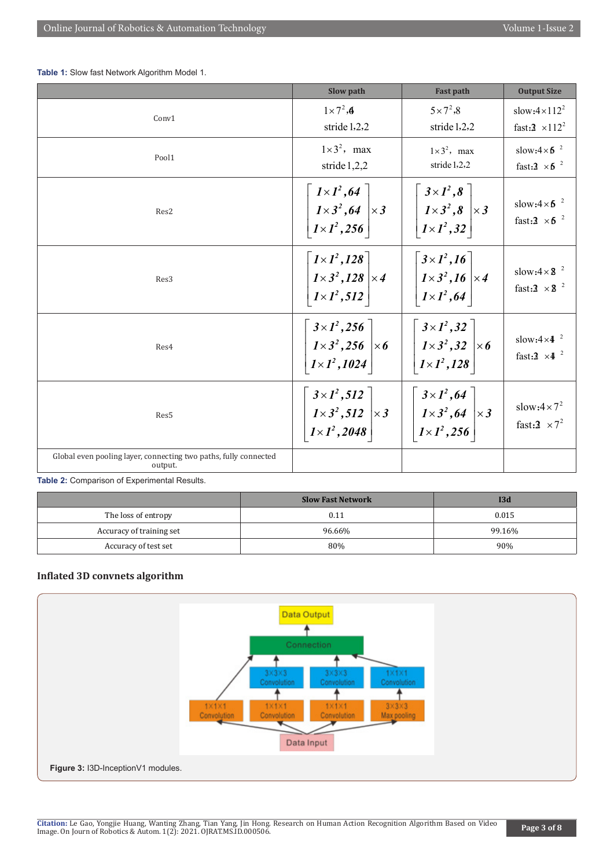**Table 1:** Slow fast Network Algorithm Model 1.

|                                                                             | Slow path                                                                                                                                                                                                | <b>Fast path</b>                                                                                                                                    | <b>Output Size</b>                                         |
|-----------------------------------------------------------------------------|----------------------------------------------------------------------------------------------------------------------------------------------------------------------------------------------------------|-----------------------------------------------------------------------------------------------------------------------------------------------------|------------------------------------------------------------|
| Conv1                                                                       | $1\times7^2$ , $\epsilon$<br>stride 1,2,2                                                                                                                                                                | $5 \times 7^2,8$<br>stride 1,2,2                                                                                                                    | slow: $4 \times 112^2$<br>fast: $3 \times 112^2$           |
| Pool1                                                                       | $1\times3^2$ , max<br>stride 1,2,2                                                                                                                                                                       | $1\times3^2$ , max<br>stride 1,2,2                                                                                                                  | slow: $4 \times 6^{-2}$<br>fast: $3 \times 5^{-2}$         |
| Res2                                                                        | $\begin{bmatrix} 1 \times 1^2, 64 \\ 1 \times 3^2, 64 \\ 1 \times 1^2, 256 \end{bmatrix} \times 3$                                                                                                       | $\left  \begin{array}{c} 3 \times I^2, 8 \end{array} \right $<br>$\left \left \left \frac{I\times3^2,8}{I\times1^2,32}\right \times3\right \right $ | slow: $4 \times 6^{-2}$<br>fast: $3 \times 5$ <sup>2</sup> |
| Res3                                                                        | $1 \times 1^2, 128$<br>$\left \frac{1\times3^2,128}{1\times1^2,512}\right \times4$                                                                                                                       | $3 \times 1^2, 16$<br>$\left \frac{1\times3^2,16}{1\times1^2,64}\right \times4$                                                                     | slow: $4 \times 8^{-2}$<br>fast: $3 \times 8$ <sup>2</sup> |
| Res4                                                                        | $\begin{bmatrix} 3 \times 1^2, 256 \\ 1 \times 3^2, 256 \\ 1 \times 1^2, 1024 \end{bmatrix} \times 6$ $\begin{bmatrix} 3 \times 1^2, 32 \\ 1 \times 3^2, 32 \\ 1 \times 1^2, 128 \end{bmatrix} \times 6$ | $\left[\right.3\times1^{2},32\left.\right]$                                                                                                         | slow: $4 \times 4^{2}$<br>fast: $3 \times 4^2$             |
| Res5                                                                        | $\begin{bmatrix} 3 \times 1^2, 512 \\ 1 \times 3^2, 512 \\ 1 \times 1^2, 2048 \end{bmatrix} \times 3 \begin{bmatrix} 3 \times 1^2, 64 \\ 1 \times 3^2, 64 \\ 1 \times 1^2, 256 \end{bmatrix} \times 3$   |                                                                                                                                                     | slow: $4 \times 7^2$<br>fast: $3 \times 7^2$               |
| Global even pooling layer, connecting two paths, fully connected<br>output. |                                                                                                                                                                                                          |                                                                                                                                                     |                                                            |

**Table 2:** Comparison of Experimental Results.

|                          | <b>Slow Fast Network</b> | 13d    |
|--------------------------|--------------------------|--------|
| The loss of entropy      | 0.11                     | 0.015  |
| Accuracy of training set | 96.66%                   | 99.16% |
| Accuracy of test set     | 80%                      | 90%    |

# **Inflated 3D convnets algorithm**

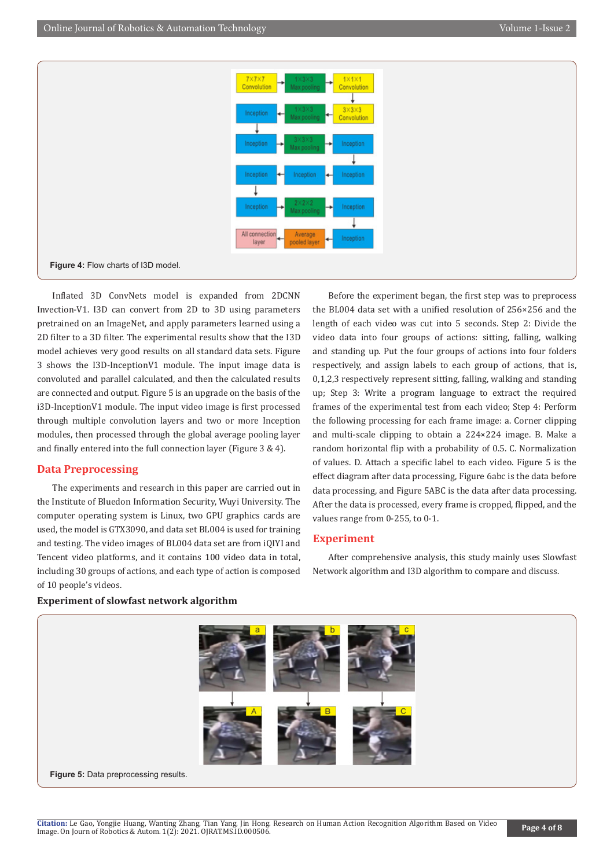

Inflated 3D ConvNets model is expanded from 2DCNN Invection-V1. I3D can convert from 2D to 3D using parameters pretrained on an ImageNet, and apply parameters learned using a 2D filter to a 3D filter. The experimental results show that the I3D model achieves very good results on all standard data sets. Figure 3 shows the I3D-InceptionV1 module. The input image data is convoluted and parallel calculated, and then the calculated results are connected and output. Figure 5 is an upgrade on the basis of the i3D-InceptionV1 module. The input video image is first processed through multiple convolution layers and two or more Inception modules, then processed through the global average pooling layer and finally entered into the full connection layer (Figure 3 & 4).

# **Data Preprocessing**

The experiments and research in this paper are carried out in the Institute of Bluedon Information Security, Wuyi University. The computer operating system is Linux, two GPU graphics cards are used, the model is GTX3090, and data set BL004 is used for training and testing. The video images of BL004 data set are from iQIYI and Tencent video platforms, and it contains 100 video data in total, including 30 groups of actions, and each type of action is composed of 10 people's videos.

Before the experiment began, the first step was to preprocess the BL004 data set with a unified resolution of 256×256 and the length of each video was cut into 5 seconds. Step 2: Divide the video data into four groups of actions: sitting, falling, walking and standing up. Put the four groups of actions into four folders respectively, and assign labels to each group of actions, that is, 0,1,2,3 respectively represent sitting, falling, walking and standing up; Step 3: Write a program language to extract the required frames of the experimental test from each video; Step 4: Perform the following processing for each frame image: a. Corner clipping and multi-scale clipping to obtain a 224×224 image. B. Make a random horizontal flip with a probability of 0.5. C. Normalization of values. D. Attach a specific label to each video. Figure 5 is the effect diagram after data processing, Figure 6abc is the data before data processing, and Figure 5ABC is the data after data processing. After the data is processed, every frame is cropped, flipped, and the values range from 0-255, to 0-1.

# **Experiment**

After comprehensive analysis, this study mainly uses Slowfast Network algorithm and I3D algorithm to compare and discuss.



#### **Experiment of slowfast network algorithm**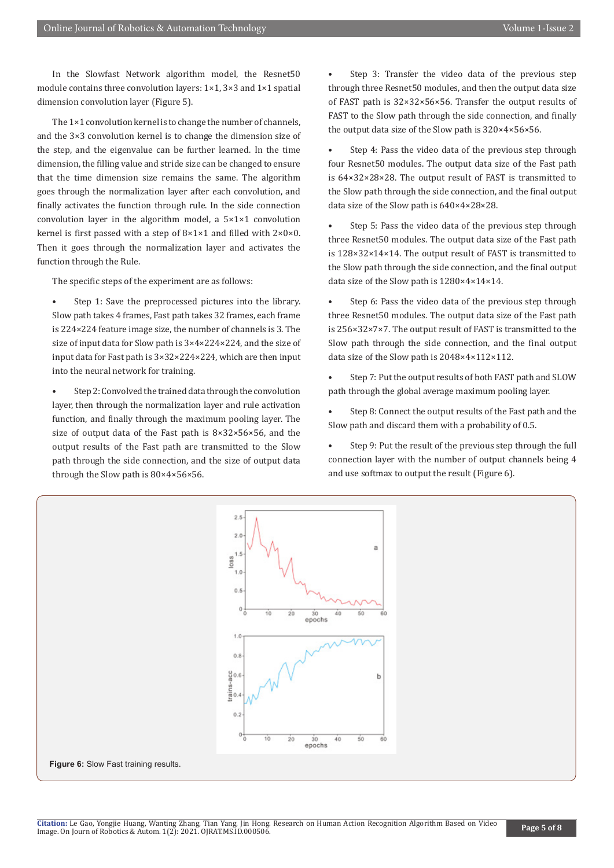In the Slowfast Network algorithm model, the Resnet50 module contains three convolution layers: 1×1, 3×3 and 1×1 spatial dimension convolution layer (Figure 5).

The 1×1 convolution kernel is to change the number of channels, and the 3×3 convolution kernel is to change the dimension size of the step, and the eigenvalue can be further learned. In the time dimension, the filling value and stride size can be changed to ensure that the time dimension size remains the same. The algorithm goes through the normalization layer after each convolution, and finally activates the function through rule. In the side connection convolution layer in the algorithm model, a 5×1×1 convolution kernel is first passed with a step of 8×1×1 and filled with 2×0×0. Then it goes through the normalization layer and activates the function through the Rule.

The specific steps of the experiment are as follows:

Step 1: Save the preprocessed pictures into the library. Slow path takes 4 frames, Fast path takes 32 frames, each frame is 224×224 feature image size, the number of channels is 3. The size of input data for Slow path is 3×4×224×224, and the size of input data for Fast path is 3×32×224×224, which are then input into the neural network for training.

• Step 2: Convolved the trained data through the convolution layer, then through the normalization layer and rule activation function, and finally through the maximum pooling layer. The size of output data of the Fast path is 8×32×56×56, and the output results of the Fast path are transmitted to the Slow path through the side connection, and the size of output data through the Slow path is 80×4×56×56.

Step 3: Transfer the video data of the previous step through three Resnet50 modules, and then the output data size of FAST path is 32×32×56×56. Transfer the output results of FAST to the Slow path through the side connection, and finally the output data size of the Slow path is 320×4×56×56.

Step 4: Pass the video data of the previous step through four Resnet50 modules. The output data size of the Fast path is 64×32×28×28. The output result of FAST is transmitted to the Slow path through the side connection, and the final output data size of the Slow path is 640×4×28×28.

Step 5: Pass the video data of the previous step through three Resnet50 modules. The output data size of the Fast path is 128×32×14×14. The output result of FAST is transmitted to the Slow path through the side connection, and the final output data size of the Slow path is 1280×4×14×14.

Step 6: Pass the video data of the previous step through three Resnet50 modules. The output data size of the Fast path is 256×32×7×7. The output result of FAST is transmitted to the Slow path through the side connection, and the final output data size of the Slow path is 2048×4×112×112.

• Step 7: Put the output results of both FAST path and SLOW path through the global average maximum pooling layer.

Step 8: Connect the output results of the Fast path and the Slow path and discard them with a probability of 0.5.

Step 9: Put the result of the previous step through the full connection layer with the number of output channels being 4 and use softmax to output the result (Figure 6).

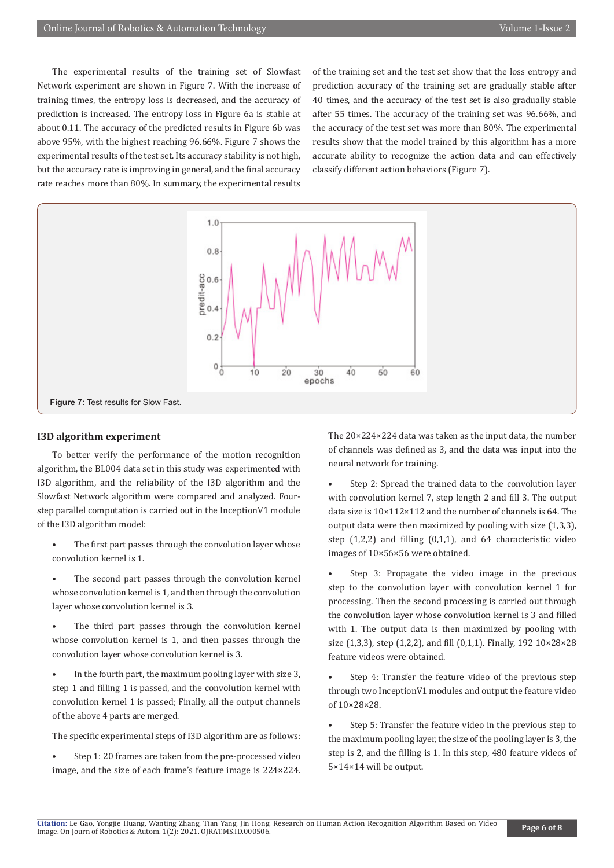The experimental results of the training set of Slowfast Network experiment are shown in Figure 7. With the increase of training times, the entropy loss is decreased, and the accuracy of prediction is increased. The entropy loss in Figure 6a is stable at about 0.11. The accuracy of the predicted results in Figure 6b was above 95%, with the highest reaching 96.66%. Figure 7 shows the experimental results of the test set. Its accuracy stability is not high, but the accuracy rate is improving in general, and the final accuracy rate reaches more than 80%. In summary, the experimental results

of the training set and the test set show that the loss entropy and prediction accuracy of the training set are gradually stable after 40 times, and the accuracy of the test set is also gradually stable after 55 times. The accuracy of the training set was 96.66%, and the accuracy of the test set was more than 80%. The experimental results show that the model trained by this algorithm has a more accurate ability to recognize the action data and can effectively classify different action behaviors (Figure 7).



#### **I3D algorithm experiment**

To better verify the performance of the motion recognition algorithm, the BL004 data set in this study was experimented with I3D algorithm, and the reliability of the I3D algorithm and the Slowfast Network algorithm were compared and analyzed. Fourstep parallel computation is carried out in the InceptionV1 module of the I3D algorithm model:

- The first part passes through the convolution layer whose convolution kernel is 1.
- The second part passes through the convolution kernel whose convolution kernel is 1, and then through the convolution layer whose convolution kernel is 3.
- The third part passes through the convolution kernel whose convolution kernel is 1, and then passes through the convolution layer whose convolution kernel is 3.
- In the fourth part, the maximum pooling layer with size 3, step 1 and filling 1 is passed, and the convolution kernel with convolution kernel 1 is passed; Finally, all the output channels of the above 4 parts are merged.
- The specific experimental steps of I3D algorithm are as follows:
- Step 1: 20 frames are taken from the pre-processed video image, and the size of each frame's feature image is 224×224.

The 20×224×224 data was taken as the input data, the number of channels was defined as 3, and the data was input into the neural network for training.

- Step 2: Spread the trained data to the convolution layer with convolution kernel 7, step length 2 and fill 3. The output data size is 10×112×112 and the number of channels is 64. The output data were then maximized by pooling with size (1,3,3), step (1,2,2) and filling (0,1,1), and 64 characteristic video images of 10×56×56 were obtained.
- Step 3: Propagate the video image in the previous step to the convolution layer with convolution kernel 1 for processing. Then the second processing is carried out through the convolution layer whose convolution kernel is 3 and filled with 1. The output data is then maximized by pooling with size (1,3,3), step (1,2,2), and fill (0,1,1). Finally, 192 10×28×28 feature videos were obtained.
- Step 4: Transfer the feature video of the previous step through two InceptionV1 modules and output the feature video of 10×28×28.
- Step 5: Transfer the feature video in the previous step to the maximum pooling layer, the size of the pooling layer is 3, the step is 2, and the filling is 1. In this step, 480 feature videos of 5×14×14 will be output.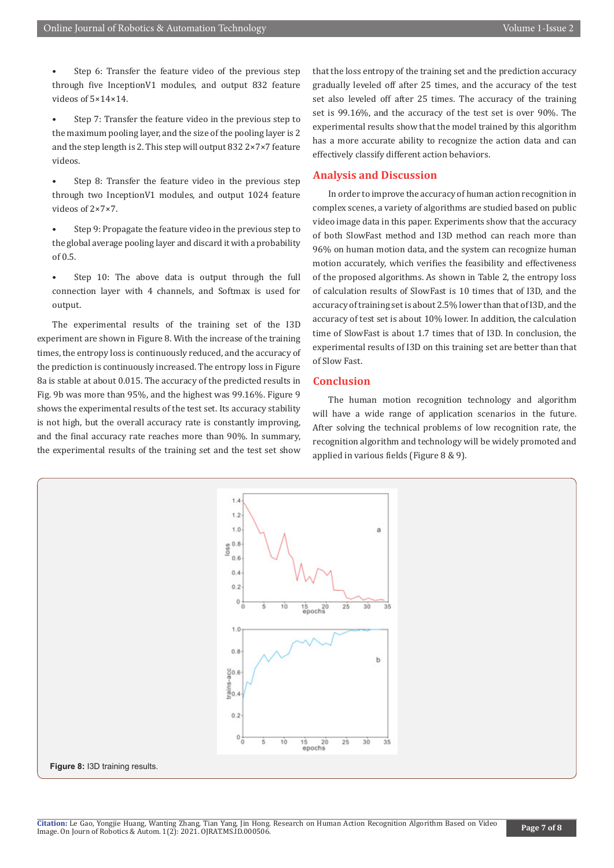- Step 6: Transfer the feature video of the previous step through five InceptionV1 modules, and output 832 feature videos of 5×14×14.
- Step 7: Transfer the feature video in the previous step to the maximum pooling layer, and the size of the pooling layer is 2 and the step length is 2. This step will output 832 2×7×7 feature videos.
- Step 8: Transfer the feature video in the previous step through two InceptionV1 modules, and output 1024 feature videos of 2×7×7.
- Step 9: Propagate the feature video in the previous step to the global average pooling layer and discard it with a probability of 0.5.
- Step 10: The above data is output through the full connection layer with 4 channels, and Softmax is used for output.

The experimental results of the training set of the I3D experiment are shown in Figure 8. With the increase of the training times, the entropy loss is continuously reduced, and the accuracy of the prediction is continuously increased. The entropy loss in Figure 8a is stable at about 0.015. The accuracy of the predicted results in Fig. 9b was more than 95%, and the highest was 99.16%. Figure 9 shows the experimental results of the test set. Its accuracy stability is not high, but the overall accuracy rate is constantly improving, and the final accuracy rate reaches more than 90%. In summary, the experimental results of the training set and the test set show

that the loss entropy of the training set and the prediction accuracy gradually leveled off after 25 times, and the accuracy of the test set also leveled off after 25 times. The accuracy of the training set is 99.16%, and the accuracy of the test set is over 90%. The experimental results show that the model trained by this algorithm has a more accurate ability to recognize the action data and can effectively classify different action behaviors.

#### **Analysis and Discussion**

In order to improve the accuracy of human action recognition in complex scenes, a variety of algorithms are studied based on public video image data in this paper. Experiments show that the accuracy of both SlowFast method and I3D method can reach more than 96% on human motion data, and the system can recognize human motion accurately, which verifies the feasibility and effectiveness of the proposed algorithms. As shown in Table 2, the entropy loss of calculation results of SlowFast is 10 times that of I3D, and the accuracy of training set is about 2.5% lower than that of I3D, and the accuracy of test set is about 10% lower. In addition, the calculation time of SlowFast is about 1.7 times that of I3D. In conclusion, the experimental results of I3D on this training set are better than that of Slow Fast.

# **Conclusion**

The human motion recognition technology and algorithm will have a wide range of application scenarios in the future. After solving the technical problems of low recognition rate, the recognition algorithm and technology will be widely promoted and applied in various fields (Figure 8 & 9).



#### **Figure 8:** I3D training results.